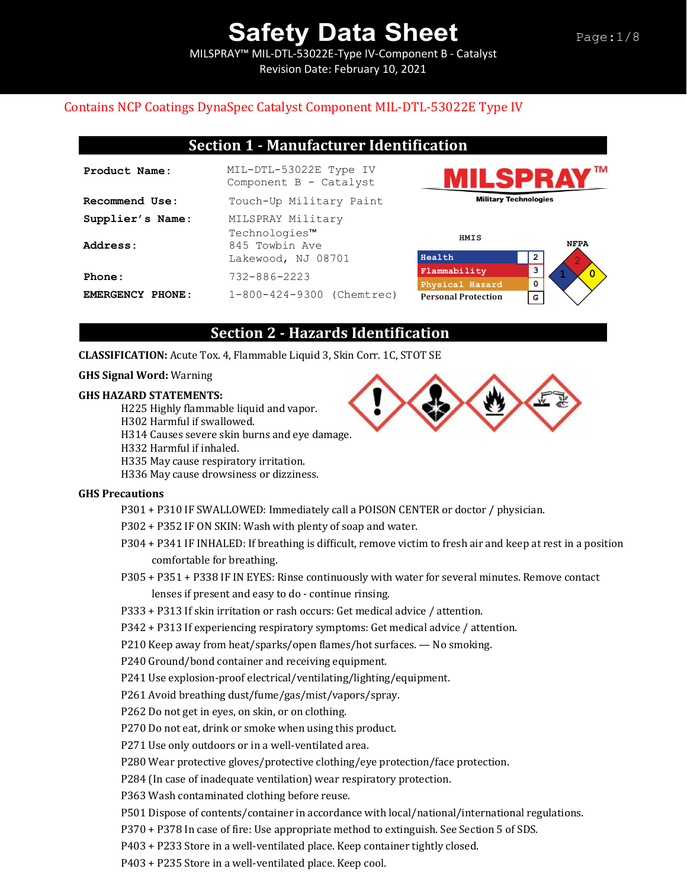MILSPRAY™ MIL-DTL-53022E-Type IV-Component B - Catalyst Revision Date: February 10, 2021

## Page:1/8

### Contains NCP Coatings DynaSpec Catalyst Component MIL-DTL-53022E Type IV

## **Section 1 - Manufacturer Identification**

| Product Name:                | MIL-DTL-53022E Type IV<br>Component B - Catalyst                                       |
|------------------------------|----------------------------------------------------------------------------------------|
| Recommend Use:               | Touch-Up Military Paint                                                                |
| Supplier's Name:<br>Address: | MILSPRAY Military<br>Technologies <sup>™</sup><br>845 Towbin Ave<br>Lakewood, NJ 08701 |
| Phone:                       | 732-886-2223                                                                           |
| EMERGENCY PHONE:             | 1-800-424-9300 (Chemtrec)                                                              |





## **Section 2 - Hazards Identification**

#### **CLASSIFICATION:** Acute Tox. 4, Flammable Liquid 3, Skin Corr. 1C, STOT SE

#### **GHS Signal Word:** Warning

#### **GHS HAZARD STATEMENTS:**

- H225 Highly flammable liquid and vapor.
- H302 Harmful if swallowed.
- H314 Causes severe skin burns and eye damage.
- H332 Harmful if inhaled.
- H335 May cause respiratory irritation.
- H336 May cause drowsiness or dizziness.

### **GHS Precautions**

- P301 + P310 IF SWALLOWED: Immediately call a POISON CENTER or doctor / physician.
- P302 + P352 IF ON SKIN: Wash with plenty of soap and water.
- P304 + P341 IF INHALED: If breathing is difficult, remove victim to fresh air and keep at rest in a position comfortable for breathing.
- P305 + P351 + P338 IF IN EYES: Rinse continuously with water for several minutes. Remove contact lenses if present and easy to do - continue rinsing.
- P333 + P313 If skin irritation or rash occurs: Get medical advice / attention.
- P342 + P313 If experiencing respiratory symptoms: Get medical advice / attention.
- P210 Keep away from heat/sparks/open flames/hot surfaces. No smoking.
- P240 Ground/bond container and receiving equipment.
- P241 Use explosion-proof electrical/ventilating/lighting/equipment.
- P261 Avoid breathing dust/fume/gas/mist/vapors/spray.
- P262 Do not get in eyes, on skin, or on clothing.
- P270 Do not eat, drink or smoke when using this product.
- P271 Use only outdoors or in a well-ventilated area.
- P280 Wear protective gloves/protective clothing/eye protection/face protection.
- P284 (In case of inadequate ventilation) wear respiratory protection.
- P363 Wash contaminated clothing before reuse.
- P501 Dispose of contents/container in accordance with local/national/international regulations.
- P370 + P378 In case of fire: Use appropriate method to extinguish. See Section 5 of SDS.
- P403 + P233 Store in a well-ventilated place. Keep container tightly closed.
- P403 + P235 Store in a well-ventilated place. Keep cool.

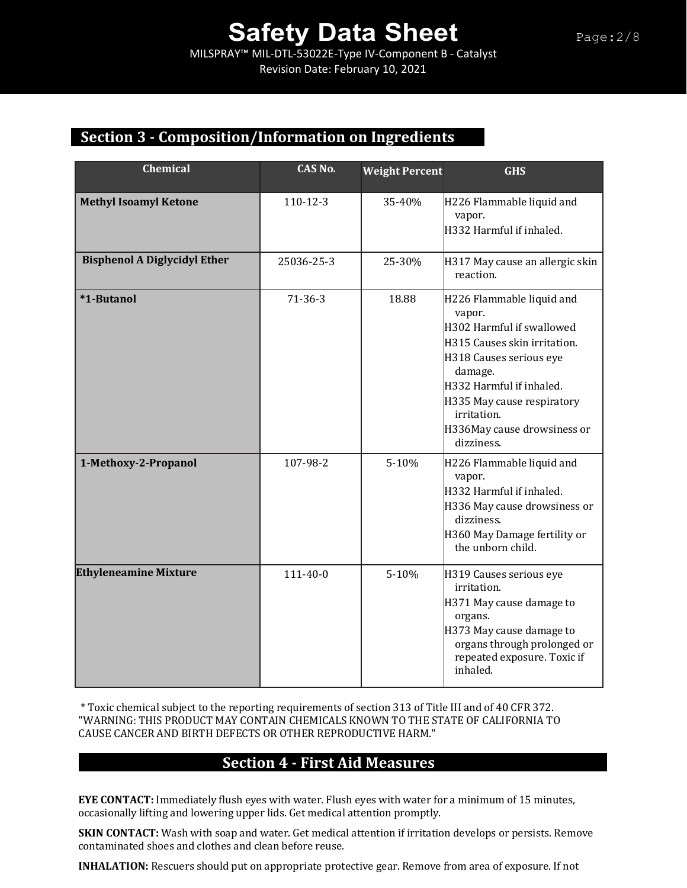MILSPRAY™ MIL-DTL-53022E-Type IV-Component B - Catalyst Revision Date: February 10, 2021

## **Section 3 - Composition/Information on Ingredients**

| <b>Chemical</b>                     | CAS No.        | <b>Weight Percent</b> | <b>GHS</b>                                                                                                                                                                                                                                                   |
|-------------------------------------|----------------|-----------------------|--------------------------------------------------------------------------------------------------------------------------------------------------------------------------------------------------------------------------------------------------------------|
| <b>Methyl Isoamyl Ketone</b>        | 110-12-3       | 35-40%                | H226 Flammable liquid and<br>vapor.<br>H332 Harmful if inhaled.                                                                                                                                                                                              |
| <b>Bisphenol A Diglycidyl Ether</b> | 25036-25-3     | 25-30%                | H317 May cause an allergic skin<br>reaction.                                                                                                                                                                                                                 |
| <b>*1-Butanol</b>                   | $71-36-3$      | 18.88                 | H226 Flammable liquid and<br>vapor.<br>H302 Harmful if swallowed<br>H315 Causes skin irritation.<br>H318 Causes serious eye<br>damage.<br>H332 Harmful if inhaled.<br>H335 May cause respiratory<br>irritation.<br>H336May cause drowsiness or<br>dizziness. |
| 1-Methoxy-2-Propanol                | 107-98-2       | 5-10%                 | H226 Flammable liquid and<br>vapor.<br>H332 Harmful if inhaled.<br>H336 May cause drowsiness or<br>dizziness.<br>H360 May Damage fertility or<br>the unborn child.                                                                                           |
| <b>Ethyleneamine Mixture</b>        | $111 - 40 - 0$ | 5-10%                 | H319 Causes serious eye<br>irritation.<br>H371 May cause damage to<br>organs.<br>H373 May cause damage to<br>organs through prolonged or<br>repeated exposure. Toxic if<br>inhaled.                                                                          |

\* Toxic chemical subject to the reporting requirements of section 313 of Title III and of 40 CFR 372. "WARNING: THIS PRODUCT MAY CONTAIN CHEMICALS KNOWN TO THE STATE OF CALIFORNIA TO CAUSE CANCER AND BIRTH DEFECTS OR OTHER REPRODUCTIVE HARM."

## **Section 4 - First Aid Measures**

**EYE CONTACT:** Immediately flush eyes with water. Flush eyes with water for a minimum of 15 minutes, occasionally lifting and lowering upper lids. Get medical attention promptly.

**SKIN CONTACT:** Wash with soap and water. Get medical attention if irritation develops or persists. Remove contaminated shoes and clothes and clean before reuse.

**INHALATION:** Rescuers should put on appropriate protective gear. Remove from area of exposure. If not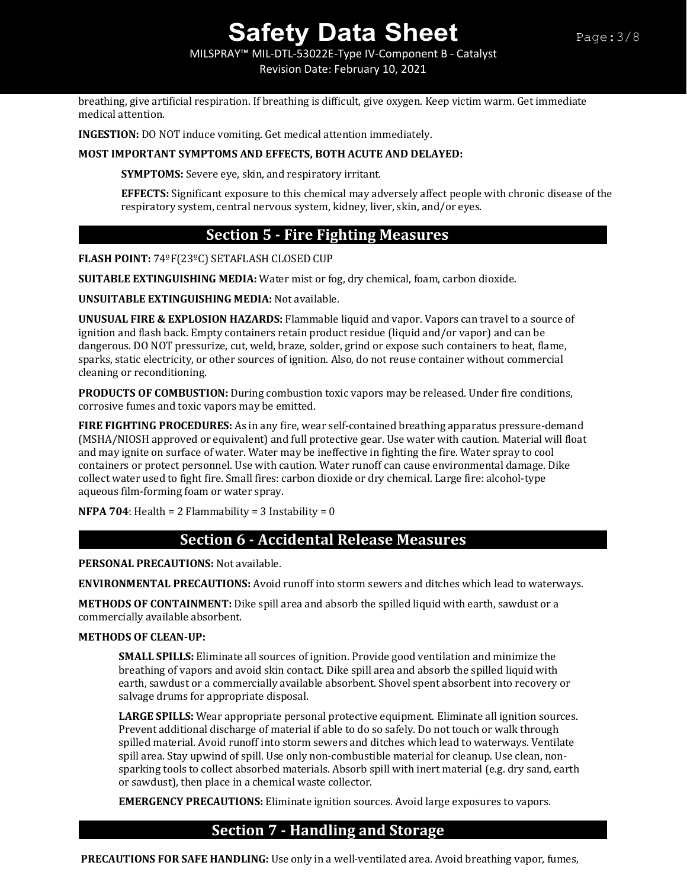MILSPRAY™ MIL-DTL-53022E-Type IV-Component B - Catalyst Revision Date: February 10, 2021

breathing, give artificial respiration. If breathing is difficult, give oxygen. Keep victim warm. Get immediate medical attention.

**INGESTION:** DO NOT induce vomiting. Get medical attention immediately.

### **MOST IMPORTANT SYMPTOMS AND EFFECTS, BOTH ACUTE AND DELAYED:**

**SYMPTOMS:** Severe eye, skin, and respiratory irritant.

**EFFECTS:** Significant exposure to this chemical may adversely affect people with chronic disease of the respiratory system, central nervous system, kidney, liver, skin, and/or eyes.

## **Section 5 - Fire Fighting Measures**

**FLASH POINT:** 74ºF(23ºC) SETAFLASH CLOSED CUP

**SUITABLE EXTINGUISHING MEDIA:** Water mist or fog, dry chemical, foam, carbon dioxide.

**UNSUITABLE EXTINGUISHING MEDIA:** Not available.

**UNUSUAL FIRE & EXPLOSION HAZARDS:** Flammable liquid and vapor. Vapors can travel to a source of ignition and flash back. Empty containers retain product residue (liquid and/or vapor) and can be dangerous. DO NOT pressurize, cut, weld, braze, solder, grind or expose such containers to heat, flame, sparks, static electricity, or other sources of ignition. Also, do not reuse container without commercial cleaning or reconditioning.

**PRODUCTS OF COMBUSTION:** During combustion toxic vapors may be released. Under fire conditions, corrosive fumes and toxic vapors may be emitted.

**FIRE FIGHTING PROCEDURES:** As in any fire, wear self-contained breathing apparatus pressure-demand (MSHA/NIOSH approved or equivalent) and full protective gear. Use water with caution. Material will float and may ignite on surface of water. Water may be ineffective in fighting the fire. Water spray to cool containers or protect personnel. Use with caution. Water runoff can cause environmental damage. Dike collect water used to fight fire. Small fires: carbon dioxide or dry chemical. Large fire: alcohol-type aqueous film-forming foam or water spray.

**NFPA 704**: Health =  $2$  Flammability =  $3$  Instability =  $0$ 

## **Section 6 - Accidental Release Measures**

**PERSONAL PRECAUTIONS:** Not available.

**ENVIRONMENTAL PRECAUTIONS:** Avoid runoff into storm sewers and ditches which lead to waterways.

**METHODS OF CONTAINMENT:** Dike spill area and absorb the spilled liquid with earth, sawdust or a commercially available absorbent.

#### **METHODS OF CLEAN-UP:**

**SMALL SPILLS:** Eliminate all sources of ignition. Provide good ventilation and minimize the breathing of vapors and avoid skin contact. Dike spill area and absorb the spilled liquid with earth, sawdust or a commercially available absorbent. Shovel spent absorbent into recovery or salvage drums for appropriate disposal.

**LARGE SPILLS:** Wear appropriate personal protective equipment. Eliminate all ignition sources. Prevent additional discharge of material if able to do so safely. Do not touch or walk through spilled material. Avoid runoff into storm sewers and ditches which lead to waterways. Ventilate spill area. Stay upwind of spill. Use only non-combustible material for cleanup. Use clean, nonsparking tools to collect absorbed materials. Absorb spill with inert material (e.g. dry sand, earth or sawdust), then place in a chemical waste collector.

**EMERGENCY PRECAUTIONS:** Eliminate ignition sources. Avoid large exposures to vapors.

## **Section 7 - Handling and Storage**

**PRECAUTIONS FOR SAFE HANDLING:** Use only in a well-ventilated area. Avoid breathing vapor, fumes,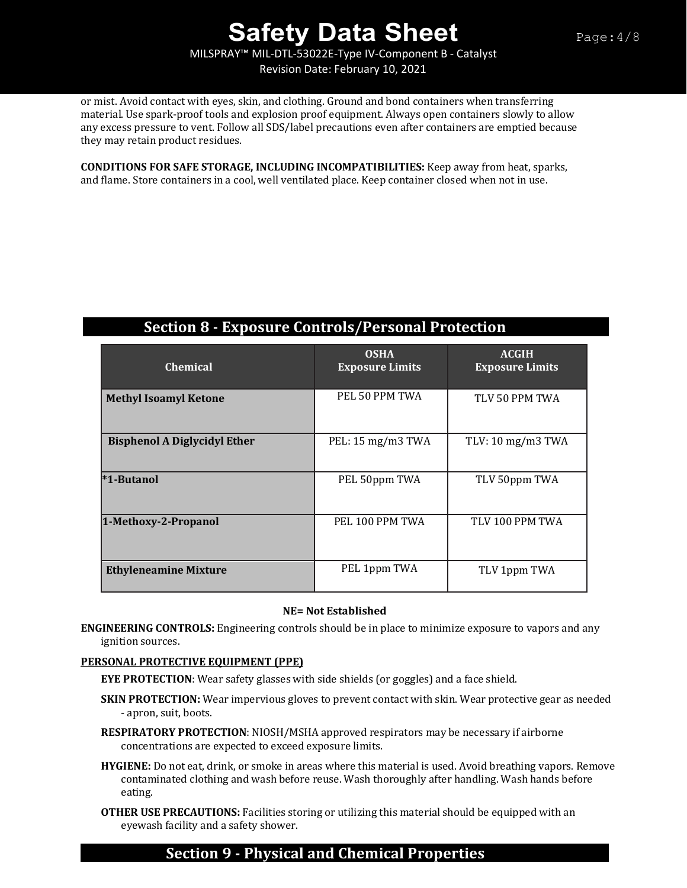MILSPRAY™ MIL-DTL-53022E-Type IV-Component B - Catalyst Revision Date: February 10, 2021

or mist. Avoid contact with eyes, skin, and clothing. Ground and bond containers when transferring material. Use spark-proof tools and explosion proof equipment. Always open containers slowly to allow any excess pressure to vent. Follow all SDS/label precautions even after containers are emptied because they may retain product residues.

**CONDITIONS FOR SAFE STORAGE, INCLUDING INCOMPATIBILITIES:** Keep away from heat, sparks, and flame. Store containers in a cool, well ventilated place. Keep container closed when not in use.

## **Section 8 - Exposure Controls/Personal Protection**

| <b>Chemical</b>                     | <b>OSHA</b><br><b>Exposure Limits</b> | <b>ACGIH</b><br><b>Exposure Limits</b> |
|-------------------------------------|---------------------------------------|----------------------------------------|
| <b>Methyl Isoamyl Ketone</b>        | PEL 50 PPM TWA                        | TLV 50 PPM TWA                         |
| <b>Bisphenol A Diglycidyl Ether</b> | PEL: 15 mg/m3 TWA                     | TLV: $10 \text{ mg/m}$ 3 TWA           |
| *1-Butanol                          | PEL 50ppm TWA                         | TLV 50ppm TWA                          |
| 1-Methoxy-2-Propanol                | PEL 100 PPM TWA                       | TLV 100 PPM TWA                        |
| <b>Ethyleneamine Mixture</b>        | PEL 1ppm TWA                          | TLV 1ppm TWA                           |

### **NE= Not Established**

**ENGINEERING CONTROLS:** Engineering controls should be in place to minimize exposure to vapors and any ignition sources.

#### **PERSONAL PROTECTIVE EQUIPMENT (PPE)**

**EYE PROTECTION**: Wear safety glasses with side shields (or goggles) and a face shield.

- **SKIN PROTECTION:** Wear impervious gloves to prevent contact with skin. Wear protective gear as needed - apron, suit, boots.
- **RESPIRATORY PROTECTION**: NIOSH/MSHA approved respirators may be necessary if airborne concentrations are expected to exceed exposure limits.
- **HYGIENE:** Do not eat, drink, or smoke in areas where this material is used. Avoid breathing vapors. Remove contaminated clothing and wash before reuse. Wash thoroughly after handling. Wash hands before eating.
- **OTHER USE PRECAUTIONS:** Facilities storing or utilizing this material should be equipped with an eyewash facility and a safety shower.

## **Section 9 - Physical and Chemical Properties**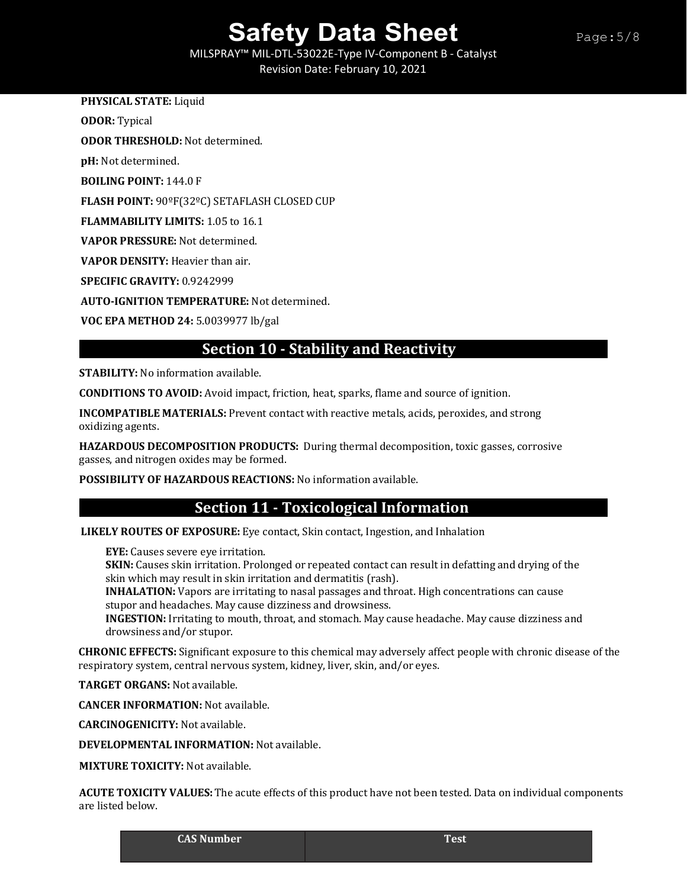MILSPRAY™ MIL-DTL-53022E-Type IV-Component B - Catalyst Revision Date: February 10, 2021

### **PHYSICAL STATE:** Liquid

**ODOR:** Typical

**ODOR THRESHOLD:** Not determined.

**pH:** Not determined.

**BOILING POINT:** 144.0 F

**FLASH POINT:** 90ºF(32ºC) SETAFLASH CLOSED CUP

**FLAMMABILITY LIMITS:** 1.05 to 16.1

**VAPOR PRESSURE:** Not determined.

**VAPOR DENSITY:** Heavier than air.

**SPECIFIC GRAVITY:** 0.9242999

**AUTO-IGNITION TEMPERATURE:** Not determined.

**VOC EPA METHOD 24:** 5.0039977 lb/gal

## **Section 10 - Stability and Reactivity**

**STABILITY:** No information available.

**CONDITIONS TO AVOID:** Avoid impact, friction, heat, sparks, flame and source of ignition.

**INCOMPATIBLE MATERIALS:** Prevent contact with reactive metals, acids, peroxides, and strong oxidizing agents.

**HAZARDOUS DECOMPOSITION PRODUCTS:** During thermal decomposition, toxic gasses, corrosive gasses, and nitrogen oxides may be formed.

**POSSIBILITY OF HAZARDOUS REACTIONS:** No information available.

## **Section 11 - Toxicological Information**

**LIKELY ROUTES OF EXPOSURE:** Eye contact, Skin contact, Ingestion, and Inhalation

**EYE:** Causes severe eye irritation.

**SKIN:** Causes skin irritation. Prolonged or repeated contact can result in defatting and drying of the skin which may result in skin irritation and dermatitis (rash).

**INHALATION:** Vapors are irritating to nasal passages and throat. High concentrations can cause stupor and headaches. May cause dizziness and drowsiness.

**INGESTION:** Irritating to mouth, throat, and stomach. May cause headache. May cause dizziness and drowsiness and/or stupor.

**CHRONIC EFFECTS:** Significant exposure to this chemical may adversely affect people with chronic disease of the respiratory system, central nervous system, kidney, liver, skin, and/or eyes.

**TARGET ORGANS:** Not available.

**CANCER INFORMATION:** Not available.

**CARCINOGENICITY:** Not available.

**DEVELOPMENTAL INFORMATION:** Not available.

**MIXTURE TOXICITY:** Not available.

**ACUTE TOXICITY VALUES:**The acute effects of this product have not been tested. Data on individual components are listed below.

**CAS Number Test**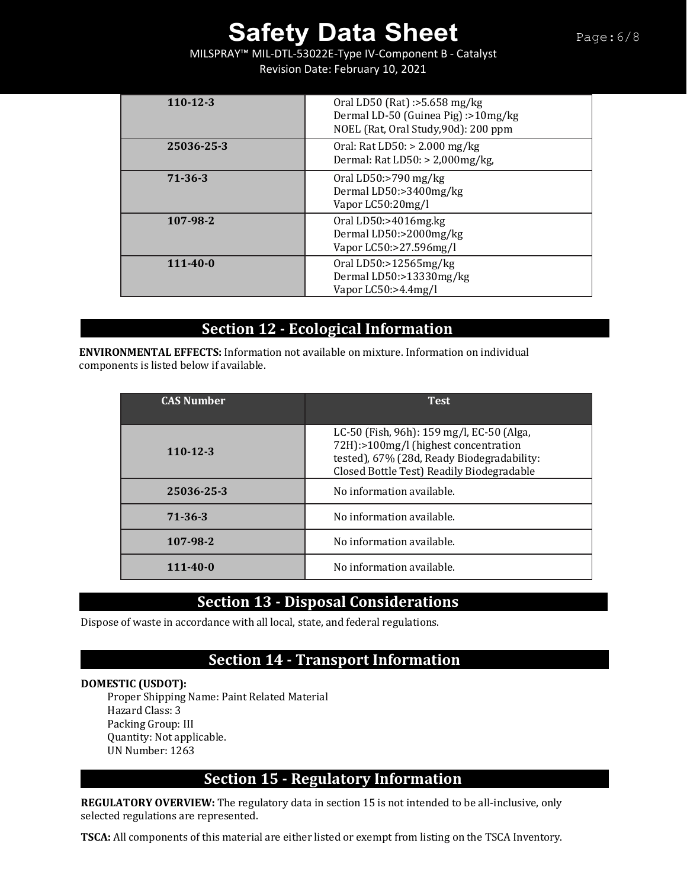MILSPRAY™ MIL-DTL-53022E-Type IV-Component B - Catalyst Revision Date: February 10, 2021

| $110-12-3$     | Oral LD50 (Rat) :>5.658 mg/kg<br>Dermal LD-50 (Guinea Pig) :>10mg/kg<br>NOEL (Rat, Oral Study, 90d): 200 ppm |
|----------------|--------------------------------------------------------------------------------------------------------------|
| 25036-25-3     | Oral: Rat LD50: $> 2.000$ mg/kg<br>Dermal: Rat LD50: $>$ 2,000mg/kg,                                         |
| 71-36-3        | Oral LD50:>790 mg/kg<br>Dermal LD50:>3400mg/kg<br>Vapor LC50:20mg/l                                          |
| 107-98-2       | Oral LD50: $>4016$ mg.kg<br>Dermal LD50:>2000mg/kg<br>Vapor LC50:>27.596mg/l                                 |
| $111 - 40 - 0$ | Oral LD50: $>12565$ mg/kg<br>Dermal LD50:>13330mg/kg<br>Vapor $LCS0:>4.4mg/l$                                |

## **Section 12 - Ecological Information .**

**ENVIRONMENTAL EFFECTS:** Information not available on mixture. Information on individual components is listed below if available.

| <b>CAS Number</b> | <b>Test</b>                                                                                                                                                                  |
|-------------------|------------------------------------------------------------------------------------------------------------------------------------------------------------------------------|
| $110 - 12 - 3$    | LC-50 (Fish, 96h): 159 mg/l, EC-50 (Alga,<br>72H):>100mg/l (highest concentration<br>tested), 67% (28d, Ready Biodegradability:<br>Closed Bottle Test) Readily Biodegradable |
| 25036-25-3        | No information available.                                                                                                                                                    |
| 71-36-3           | No information available.                                                                                                                                                    |
| 107-98-2          | No information available.                                                                                                                                                    |
| $111 - 40 - 0$    | No information available.                                                                                                                                                    |

## **Section 13 - Disposal Considerations**

Dispose of waste in accordance with all local, state, and federal regulations.

## **Section 14 - Transport Information**

### **DOMESTIC (USDOT):**

Proper Shipping Name: Paint Related Material Hazard Class: 3 Packing Group: III Quantity: Not applicable. UN Number: 1263

## **Section 15 - Regulatory Information**

**REGULATORY OVERVIEW:** The regulatory data in section 15 is not intended to be all-inclusive, only selected regulations are represented.

**TSCA:** All components of this material are either listed or exempt from listing on the TSCA Inventory.